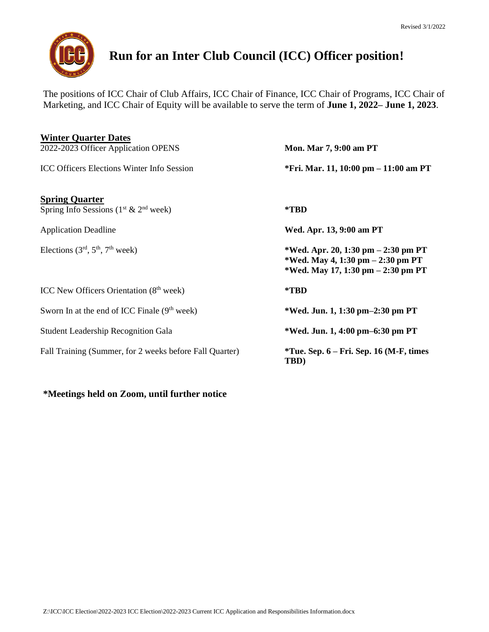

# **Run for an Inter Club Council (ICC) Officer position!**

The positions of ICC Chair of Club Affairs, ICC Chair of Finance, ICC Chair of Programs, ICC Chair of Marketing, and ICC Chair of Equity will be available to serve the term of **June 1, 2022– June 1, 2023**.

| <b>Winter Quarter Dates</b>                             |                                                                                                                   |
|---------------------------------------------------------|-------------------------------------------------------------------------------------------------------------------|
| 2022-2023 Officer Application OPENS                     | Mon. Mar 7, 9:00 am PT                                                                                            |
| <b>ICC Officers Elections Winter Info Session</b>       | *Fri. Mar. 11, 10:00 pm – 11:00 am PT                                                                             |
| <b>Spring Quarter</b>                                   |                                                                                                                   |
| Spring Info Sessions $(1^{st} \& 2^{nd}$ week)          | *TBD                                                                                                              |
| <b>Application Deadline</b>                             | Wed. Apr. 13, 9:00 am PT                                                                                          |
| Elections $(3rd, 5th, 7th week)$                        | *Wed. Apr. 20, 1:30 pm $- 2:30$ pm PT<br>*Wed. May 4, 1:30 pm $-2:30$ pm PT<br>*Wed. May 17, 1:30 pm – 2:30 pm PT |
| ICC New Officers Orientation (8 <sup>th</sup> week)     | *TBD                                                                                                              |
| Sworn In at the end of ICC Finale $(9th week)$          | *Wed. Jun. 1, 1:30 pm-2:30 pm PT                                                                                  |
| <b>Student Leadership Recognition Gala</b>              | *Wed. Jun. 1, 4:00 pm–6:30 pm PT                                                                                  |
| Fall Training (Summer, for 2 weeks before Fall Quarter) | $*$ Tue. Sep. 6 – Fri. Sep. 16 (M-F, times<br>TBD)                                                                |
|                                                         |                                                                                                                   |

#### **\*Meetings held on Zoom, until further notice**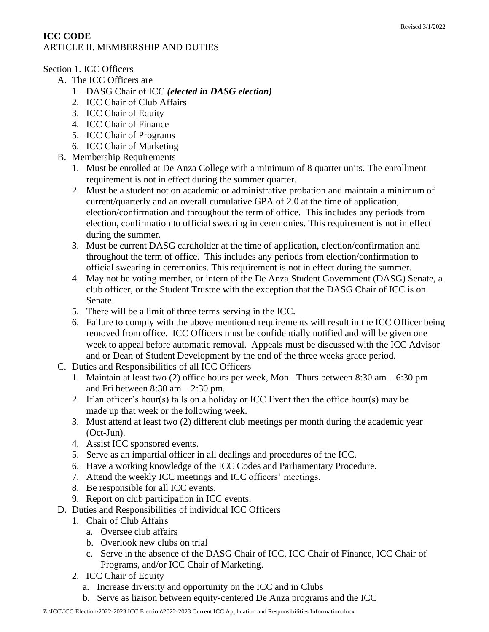# **ICC CODE** ARTICLE II. MEMBERSHIP AND DUTIES

## Section 1. ICC Officers

- A. The ICC Officers are
	- 1. DASG Chair of ICC *(elected in DASG election)*
	- 2. ICC Chair of Club Affairs
	- 3. ICC Chair of Equity
	- 4. ICC Chair of Finance
	- 5. ICC Chair of Programs
	- 6. ICC Chair of Marketing
- B. Membership Requirements
	- 1. Must be enrolled at De Anza College with a minimum of 8 quarter units. The enrollment requirement is not in effect during the summer quarter.
	- 2. Must be a student not on academic or administrative probation and maintain a minimum of current/quarterly and an overall cumulative GPA of 2.0 at the time of application, election/confirmation and throughout the term of office. This includes any periods from election, confirmation to official swearing in ceremonies. This requirement is not in effect during the summer.
	- 3. Must be current DASG cardholder at the time of application, election/confirmation and throughout the term of office. This includes any periods from election/confirmation to official swearing in ceremonies. This requirement is not in effect during the summer.
	- 4. May not be voting member, or intern of the De Anza Student Government (DASG) Senate, a club officer, or the Student Trustee with the exception that the DASG Chair of ICC is on Senate.
	- 5. There will be a limit of three terms serving in the ICC.
	- 6. Failure to comply with the above mentioned requirements will result in the ICC Officer being removed from office. ICC Officers must be confidentially notified and will be given one week to appeal before automatic removal. Appeals must be discussed with the ICC Advisor and or Dean of Student Development by the end of the three weeks grace period.
- C. Duties and Responsibilities of all ICC Officers
	- 1. Maintain at least two (2) office hours per week, Mon –Thurs between 8:30 am 6:30 pm and Fri between  $8:30$  am  $-2:30$  pm.
	- 2. If an officer's hour(s) falls on a holiday or ICC Event then the office hour(s) may be made up that week or the following week.
	- 3. Must attend at least two (2) different club meetings per month during the academic year (Oct-Jun).
	- 4. Assist ICC sponsored events.
	- 5. Serve as an impartial officer in all dealings and procedures of the ICC.
	- 6. Have a working knowledge of the ICC Codes and Parliamentary Procedure.
	- 7. Attend the weekly ICC meetings and ICC officers' meetings.
	- 8. Be responsible for all ICC events.
	- 9. Report on club participation in ICC events.
- D. Duties and Responsibilities of individual ICC Officers
	- 1. Chair of Club Affairs
		- a. Oversee club affairs
		- b. Overlook new clubs on trial
		- c. Serve in the absence of the DASG Chair of ICC, ICC Chair of Finance, ICC Chair of Programs, and/or ICC Chair of Marketing.
	- 2. ICC Chair of Equity
		- a. Increase diversity and opportunity on the ICC and in Clubs
		- b. Serve as liaison between equity-centered De Anza programs and the ICC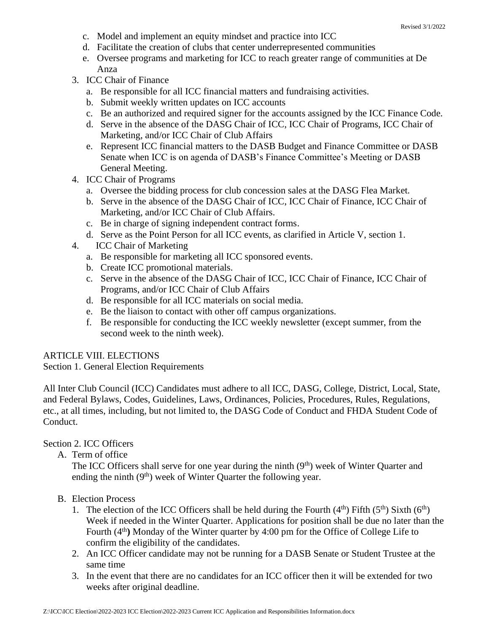- c. Model and implement an equity mindset and practice into ICC
- d. Facilitate the creation of clubs that center underrepresented communities
- e. Oversee programs and marketing for ICC to reach greater range of communities at De Anza
- 3. ICC Chair of Finance
	- a. Be responsible for all ICC financial matters and fundraising activities.
	- b. Submit weekly written updates on ICC accounts
	- c. Be an authorized and required signer for the accounts assigned by the ICC Finance Code.
	- d. Serve in the absence of the DASG Chair of ICC, ICC Chair of Programs, ICC Chair of Marketing, and/or ICC Chair of Club Affairs
	- e. Represent ICC financial matters to the DASB Budget and Finance Committee or DASB Senate when ICC is on agenda of DASB's Finance Committee's Meeting or DASB General Meeting.
- 4. ICC Chair of Programs
	- a. Oversee the bidding process for club concession sales at the DASG Flea Market.
	- b. Serve in the absence of the DASG Chair of ICC, ICC Chair of Finance, ICC Chair of Marketing, and/or ICC Chair of Club Affairs.
	- c. Be in charge of signing independent contract forms.
	- d. Serve as the Point Person for all ICC events, as clarified in Article V, section 1.
- 4. ICC Chair of Marketing
	- a. Be responsible for marketing all ICC sponsored events.
	- b. Create ICC promotional materials.
	- c. Serve in the absence of the DASG Chair of ICC, ICC Chair of Finance, ICC Chair of Programs, and/or ICC Chair of Club Affairs
	- d. Be responsible for all ICC materials on social media.
	- e. Be the liaison to contact with other off campus organizations.
	- f. Be responsible for conducting the ICC weekly newsletter (except summer, from the second week to the ninth week).

#### ARTICLE VIII. ELECTIONS

Section 1. General Election Requirements

All Inter Club Council (ICC) Candidates must adhere to all ICC, DASG, College, District, Local, State, and Federal Bylaws, Codes, Guidelines, Laws, Ordinances, Policies, Procedures, Rules, Regulations, etc., at all times, including, but not limited to, the DASG Code of Conduct and FHDA Student Code of Conduct.

#### Section 2. ICC Officers

A. Term of office

The ICC Officers shall serve for one year during the ninth  $(9<sup>th</sup>)$  week of Winter Quarter and ending the ninth  $(9<sup>th</sup>)$  week of Winter Quarter the following year.

- B. Election Process
	- 1. The election of the ICC Officers shall be held during the Fourth  $(4<sup>th</sup>)$  Fifth  $(5<sup>th</sup>)$  Sixth  $(6<sup>th</sup>)$ Week if needed in the Winter Quarter. Applications for position shall be due no later than the Fourth (4<sup>th</sup>) Monday of the Winter quarter by 4:00 pm for the Office of College Life to confirm the eligibility of the candidates.
	- 2. An ICC Officer candidate may not be running for a DASB Senate or Student Trustee at the same time
	- 3. In the event that there are no candidates for an ICC officer then it will be extended for two weeks after original deadline.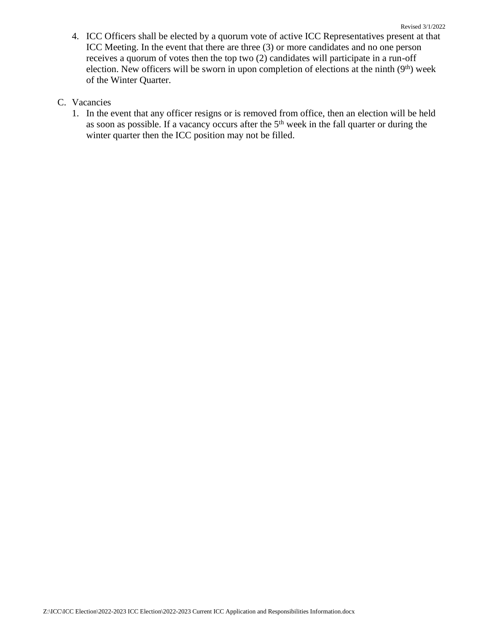Revised 3/1/2022 4. ICC Officers shall be elected by a quorum vote of active ICC Representatives present at that ICC Meeting. In the event that there are three (3) or more candidates and no one person receives a quorum of votes then the top two (2) candidates will participate in a run-off election. New officers will be sworn in upon completion of elections at the ninth  $(9<sup>th</sup>)$  week of the Winter Quarter.

## C. Vacancies

1. In the event that any officer resigns or is removed from office, then an election will be held as soon as possible. If a vacancy occurs after the  $5<sup>th</sup>$  week in the fall quarter or during the winter quarter then the ICC position may not be filled.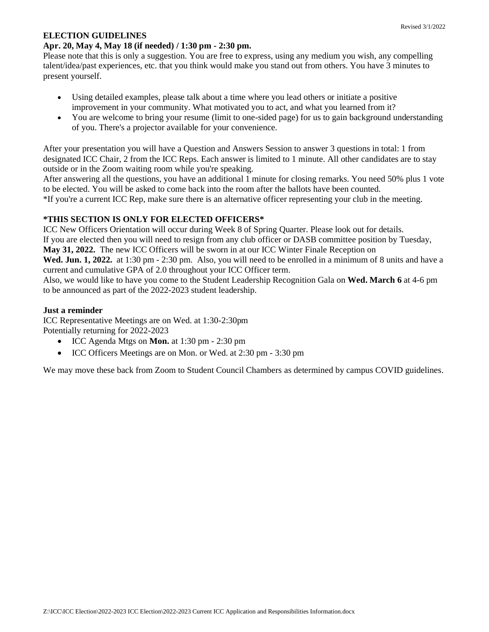#### **ELECTION GUIDELINES**

Please note that this is only a suggestion. You are free to express, using any medium you wish, any compelling talent/idea/past experiences, etc. that you think would make you stand out from others. You have 3 minutes to present yourself.

- Using detailed examples, please talk about a time where you lead others or initiate a positive improvement in your community. What motivated you to act, and what you learned from it?
- You are welcome to bring your resume (limit to one-sided page) for us to gain background understanding of you. There's a projector available for your convenience.

After your presentation you will have a Question and Answers Session to answer 3 questions in total: 1 from designated ICC Chair, 2 from the ICC Reps. Each answer is limited to 1 minute. All other candidates are to stay outside or in the Zoom waiting room while you're speaking.

After answering all the questions, you have an additional 1 minute for closing remarks. You need 50% plus 1 vote to be elected. You will be asked to come back into the room after the ballots have been counted. \*If you're a current ICC Rep, make sure there is an alternative officer representing your club in the meeting.

## **\*THIS SECTION IS ONLY FOR ELECTED OFFICERS\***

ICC New Officers Orientation will occur during Week 8 of Spring Quarter. Please look out for details. If you are elected then you will need to resign from any club officer or DASB committee position by Tuesday, **May 31, 2022.** The new ICC Officers will be sworn in at our ICC Winter Finale Reception on **Wed. Jun. 1, 2022.** at 1:30 pm - 2:30 pm. Also, you will need to be enrolled in a minimum of 8 units and have a current and cumulative GPA of 2.0 throughout your ICC Officer term.

Also, we would like to have you come to the Student Leadership Recognition Gala on **Wed. March 6** at 4-6 pm to be announced as part of the 2022-2023 student leadership.

## **Just a reminder**

ICC Representative Meetings are on Wed. at 1:30-2:30pm Potentially returning for 2022-2023

- ICC Agenda Mtgs on **Mon.** at 1:30 pm 2:30 pm
- ICC Officers Meetings are on Mon. or Wed. at 2:30 pm 3:30 pm

We may move these back from Zoom to Student Council Chambers as determined by campus COVID guidelines.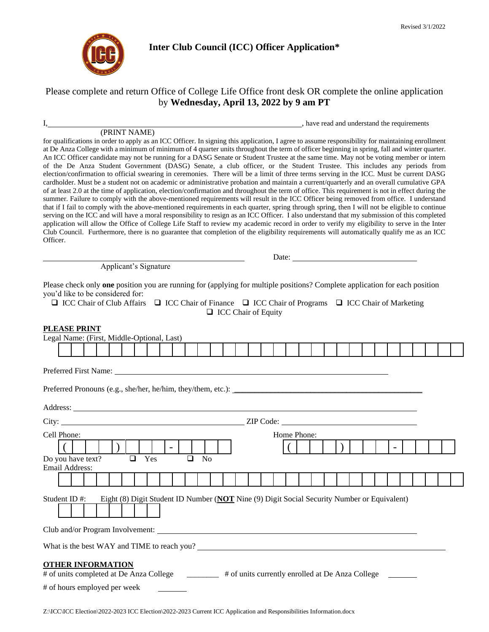

#### **Inter Club Council (ICC) Officer Application\***

## Please complete and return Office of College Life Office front desk OR complete the online application by **Wednesday, April 13, 2022 by 9 am PT**

#### (PRINT NAME)

I, have read and understand the requirements

Date:

for qualifications in order to apply as an ICC Officer. In signing this application, I agree to assume responsibility for maintaining enrollment at De Anza College with a minimum of minimum of 4 quarter units throughout the term of officer beginning in spring, fall and winter quarter. An ICC Officer candidate may not be running for a DASG Senate or Student Trustee at the same time. May not be voting member or intern of the De Anza Student Government (DASG) Senate, a club officer, or the Student Trustee. This includes any periods from election/confirmation to official swearing in ceremonies. There will be a limit of three terms serving in the ICC. Must be current DASG cardholder. Must be a student not on academic or administrative probation and maintain a current/quarterly and an overall cumulative GPA of at least 2.0 at the time of application, election/confirmation and throughout the term of office. This requirement is not in effect during the summer. Failure to comply with the above-mentioned requirements will result in the ICC Officer being removed from office. I understand that if I fail to comply with the above-mentioned requirements in each quarter, spring through spring, then I will not be eligible to continue serving on the ICC and will have a moral responsibility to resign as an ICC Officer. I also understand that my submission of this completed application will allow the Office of College Life Staff to review my academic record in order to verify my eligibility to serve in the Inter Club Council. Furthermore, there is no guarantee that completion of the eligibility requirements will automatically qualify me as an ICC Officer.

Applicant's Signature

Please check only **one** position you are running for (applying for multiple positions? Complete application for each position you'd like to be considered for:

❑ ICC Chair of Club Affairs ❑ ICC Chair of Finance ❑ ICC Chair of Programs ❑ ICC Chair of Marketing ❑ ICC Chair of Equity

#### **PLEASE PRINT**

| Legal Name: (First, Middle-Optional, Last)                                                                                                                                                                                     |  |                                                                                             |        |     |        |                |  |  |             |  |  |  |  |  |  |  |
|--------------------------------------------------------------------------------------------------------------------------------------------------------------------------------------------------------------------------------|--|---------------------------------------------------------------------------------------------|--------|-----|--------|----------------|--|--|-------------|--|--|--|--|--|--|--|
|                                                                                                                                                                                                                                |  |                                                                                             |        |     |        |                |  |  |             |  |  |  |  |  |  |  |
|                                                                                                                                                                                                                                |  |                                                                                             |        |     |        |                |  |  |             |  |  |  |  |  |  |  |
|                                                                                                                                                                                                                                |  |                                                                                             |        |     |        |                |  |  |             |  |  |  |  |  |  |  |
| Address: No. 2016. The contract of the contract of the contract of the contract of the contract of the contract of the contract of the contract of the contract of the contract of the contract of the contract of the contrac |  |                                                                                             |        |     |        |                |  |  |             |  |  |  |  |  |  |  |
|                                                                                                                                                                                                                                |  |                                                                                             |        |     |        |                |  |  |             |  |  |  |  |  |  |  |
| Cell Phone:                                                                                                                                                                                                                    |  |                                                                                             |        |     |        |                |  |  | Home Phone: |  |  |  |  |  |  |  |
|                                                                                                                                                                                                                                |  |                                                                                             |        |     |        |                |  |  |             |  |  |  |  |  |  |  |
| Do you have text?<br><b>Email Address:</b>                                                                                                                                                                                     |  |                                                                                             | $\Box$ | Yes | $\Box$ | N <sub>0</sub> |  |  |             |  |  |  |  |  |  |  |
|                                                                                                                                                                                                                                |  |                                                                                             |        |     |        |                |  |  |             |  |  |  |  |  |  |  |
| Student ID#:                                                                                                                                                                                                                   |  | Eight (8) Digit Student ID Number (NOT Nine (9) Digit Social Security Number or Equivalent) |        |     |        |                |  |  |             |  |  |  |  |  |  |  |
|                                                                                                                                                                                                                                |  |                                                                                             |        |     |        |                |  |  |             |  |  |  |  |  |  |  |
| What is the best WAY and TIME to reach you?                                                                                                                                                                                    |  |                                                                                             |        |     |        |                |  |  |             |  |  |  |  |  |  |  |
| <b>OTHER INFORMATION</b><br># of units completed at De Anza College # of units currently enrolled at De Anza College<br># of hours employed per week                                                                           |  |                                                                                             |        |     |        |                |  |  |             |  |  |  |  |  |  |  |
|                                                                                                                                                                                                                                |  |                                                                                             |        |     |        |                |  |  |             |  |  |  |  |  |  |  |